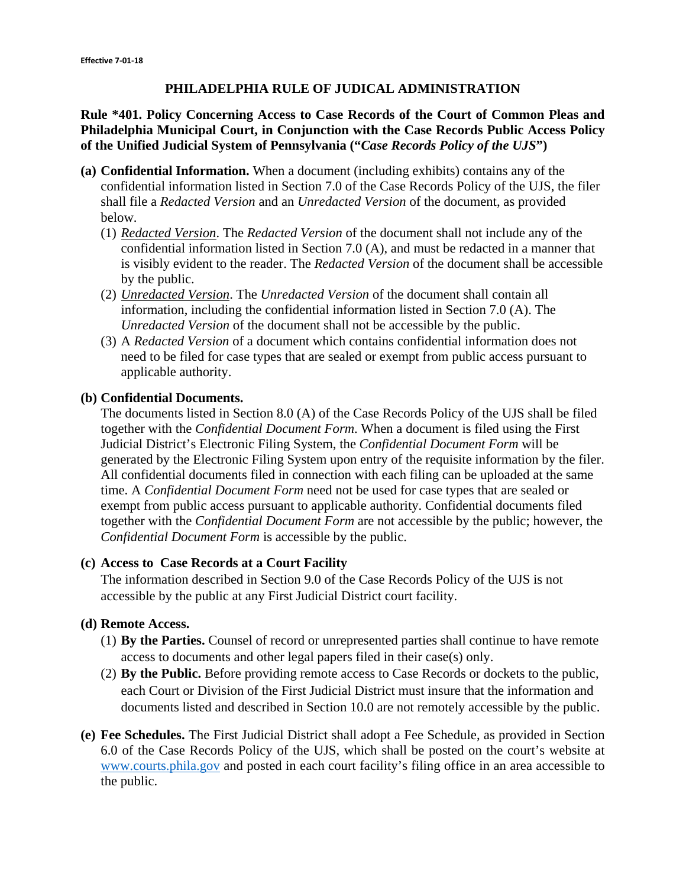## **PHILADELPHIA RULE OF JUDICAL ADMINISTRATION**

## **Rule \*401. Policy Concerning Access to Case Records of the Court of Common Pleas and Philadelphia Municipal Court, in Conjunction with the Case Records Public Access Policy of the Unified Judicial System of Pennsylvania ("***Case Records Policy of the UJS***")**

- **(a) Confidential Information.** When a document (including exhibits) contains any of the confidential information listed in Section 7.0 of the Case Records Policy of the UJS, the filer shall file a *Redacted Version* and an *Unredacted Version* of the document, as provided below.
	- (1) *Redacted Version*. The *Redacted Version* of the document shall not include any of the confidential information listed in Section 7.0 (A), and must be redacted in a manner that is visibly evident to the reader. The *Redacted Version* of the document shall be accessible by the public.
	- (2) *Unredacted Version*. The *Unredacted Version* of the document shall contain all information, including the confidential information listed in Section 7.0 (A). The *Unredacted Version* of the document shall not be accessible by the public.
	- (3) A *Redacted Version* of a document which contains confidential information does not need to be filed for case types that are sealed or exempt from public access pursuant to applicable authority.

## **(b) Confidential Documents.**

The documents listed in Section 8.0 (A) of the Case Records Policy of the UJS shall be filed together with the *Confidential Document Form*. When a document is filed using the First Judicial District's Electronic Filing System, the *Confidential Document Form* will be generated by the Electronic Filing System upon entry of the requisite information by the filer. All confidential documents filed in connection with each filing can be uploaded at the same time. A *Confidential Document Form* need not be used for case types that are sealed or exempt from public access pursuant to applicable authority. Confidential documents filed together with the *Confidential Document Form* are not accessible by the public; however, the *Confidential Document Form* is accessible by the public.

#### **(c) Access to Case Records at a Court Facility**

The information described in Section 9.0 of the Case Records Policy of the UJS is not accessible by the public at any First Judicial District court facility.

#### **(d) Remote Access.**

- (1) **By the Parties.** Counsel of record or unrepresented parties shall continue to have remote access to documents and other legal papers filed in their case(s) only.
- (2) **By the Public.** Before providing remote access to Case Records or dockets to the public, each Court or Division of the First Judicial District must insure that the information and documents listed and described in Section 10.0 are not remotely accessible by the public.
- **(e) Fee Schedules.** The First Judicial District shall adopt a Fee Schedule, as provided in Section 6.0 of the Case Records Policy of the UJS, which shall be posted on the court's website at www.courts.phila.gov and posted in each court facility's filing office in an area accessible to the public.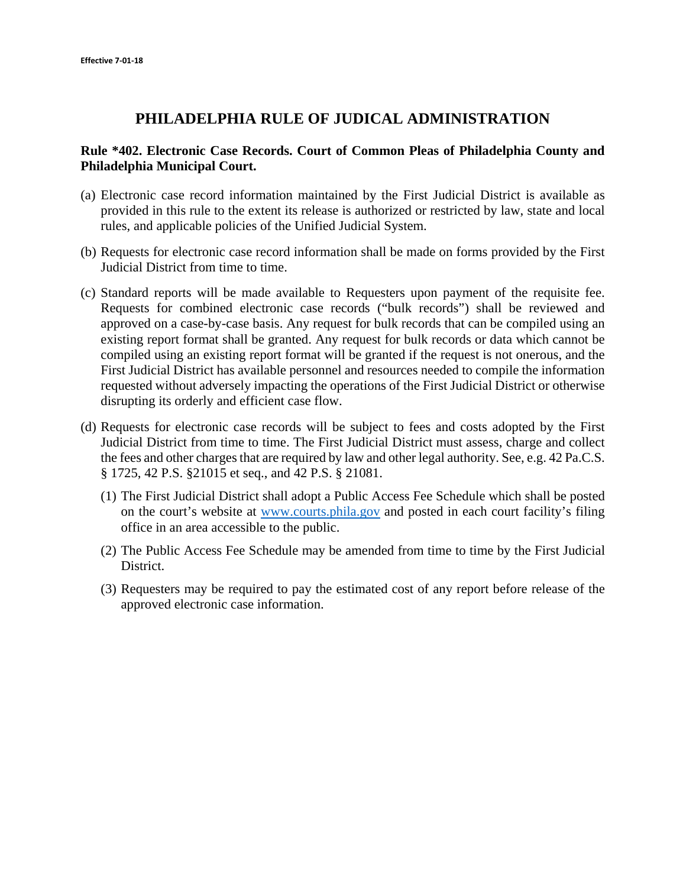## **PHILADELPHIA RULE OF JUDICAL ADMINISTRATION**

## **Rule \*402. Electronic Case Records. Court of Common Pleas of Philadelphia County and Philadelphia Municipal Court.**

- (a) Electronic case record information maintained by the First Judicial District is available as provided in this rule to the extent its release is authorized or restricted by law, state and local rules, and applicable policies of the Unified Judicial System.
- (b) Requests for electronic case record information shall be made on forms provided by the First Judicial District from time to time.
- (c) Standard reports will be made available to Requesters upon payment of the requisite fee. Requests for combined electronic case records ("bulk records") shall be reviewed and approved on a case-by-case basis. Any request for bulk records that can be compiled using an existing report format shall be granted. Any request for bulk records or data which cannot be compiled using an existing report format will be granted if the request is not onerous, and the First Judicial District has available personnel and resources needed to compile the information requested without adversely impacting the operations of the First Judicial District or otherwise disrupting its orderly and efficient case flow.
- (d) Requests for electronic case records will be subject to fees and costs adopted by the First Judicial District from time to time. The First Judicial District must assess, charge and collect the fees and other charges that are required by law and other legal authority. See, e.g. 42 Pa.C.S. § 1725, 42 P.S. §21015 et seq., and 42 P.S. § 21081.
	- (1) The First Judicial District shall adopt a Public Access Fee Schedule which shall be posted on the court's website at www.courts.phila.gov and posted in each court facility's filing office in an area accessible to the public.
	- (2) The Public Access Fee Schedule may be amended from time to time by the First Judicial District.
	- (3) Requesters may be required to pay the estimated cost of any report before release of the approved electronic case information.